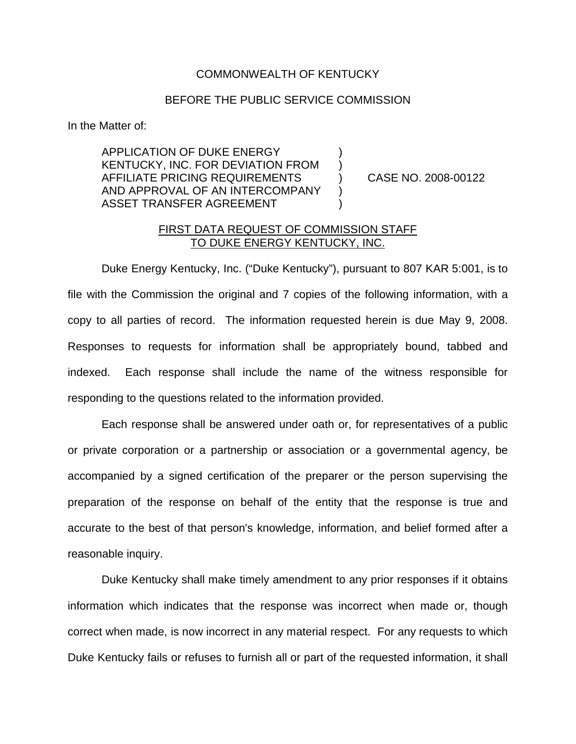## COMMONWEALTH OF KENTUCKY

## BEFORE THE PUBLIC SERVICE COMMISSION

In the Matter of:

APPLICATION OF DUKE ENERGY KENTUCKY, INC. FOR DEVIATION FROM ) AFFILIATE PRICING REQUIREMENTS ) CASE NO. 2008-00122 AND APPROVAL OF AN INTERCOMPANY ASSET TRANSFER AGREEMENT

## FIRST DATA REQUEST OF COMMISSION STAFF TO DUKE ENERGY KENTUCKY, INC.

Duke Energy Kentucky, Inc. ("Duke Kentucky"), pursuant to 807 KAR 5:001, is to file with the Commission the original and 7 copies of the following information, with a copy to all parties of record. The information requested herein is due May 9, 2008. Responses to requests for information shall be appropriately bound, tabbed and indexed. Each response shall include the name of the witness responsible for responding to the questions related to the information provided.

Each response shall be answered under oath or, for representatives of a public or private corporation or a partnership or association or a governmental agency, be accompanied by a signed certification of the preparer or the person supervising the preparation of the response on behalf of the entity that the response is true and accurate to the best of that person's knowledge, information, and belief formed after a reasonable inquiry.

Duke Kentucky shall make timely amendment to any prior responses if it obtains information which indicates that the response was incorrect when made or, though correct when made, is now incorrect in any material respect. For any requests to which Duke Kentucky fails or refuses to furnish all or part of the requested information, it shall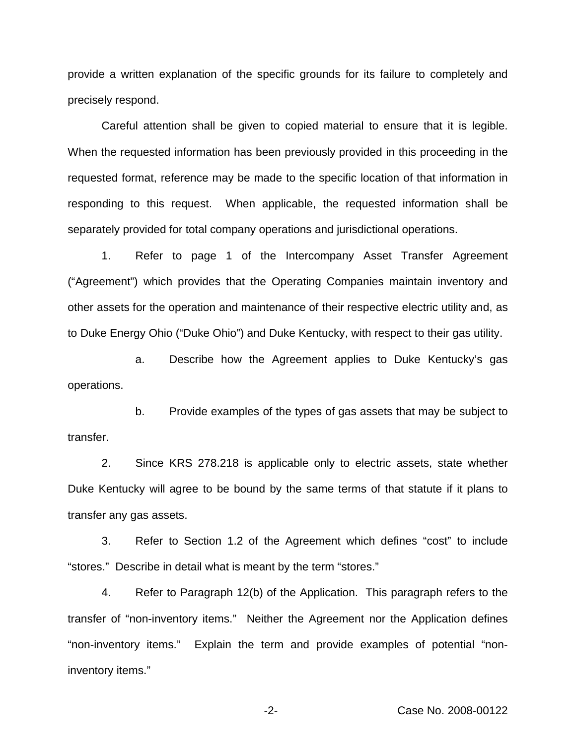provide a written explanation of the specific grounds for its failure to completely and precisely respond.

Careful attention shall be given to copied material to ensure that it is legible. When the requested information has been previously provided in this proceeding in the requested format, reference may be made to the specific location of that information in responding to this request. When applicable, the requested information shall be separately provided for total company operations and jurisdictional operations.

1. Refer to page 1 of the Intercompany Asset Transfer Agreement ("Agreement") which provides that the Operating Companies maintain inventory and other assets for the operation and maintenance of their respective electric utility and, as to Duke Energy Ohio ("Duke Ohio") and Duke Kentucky, with respect to their gas utility.

a. Describe how the Agreement applies to Duke Kentucky's gas operations.

b. Provide examples of the types of gas assets that may be subject to transfer.

2. Since KRS 278.218 is applicable only to electric assets, state whether Duke Kentucky will agree to be bound by the same terms of that statute if it plans to transfer any gas assets.

3. Refer to Section 1.2 of the Agreement which defines "cost" to include "stores." Describe in detail what is meant by the term "stores."

4. Refer to Paragraph 12(b) of the Application. This paragraph refers to the transfer of "non-inventory items." Neither the Agreement nor the Application defines "non-inventory items." Explain the term and provide examples of potential "noninventory items."

-2- Case No. 2008-00122